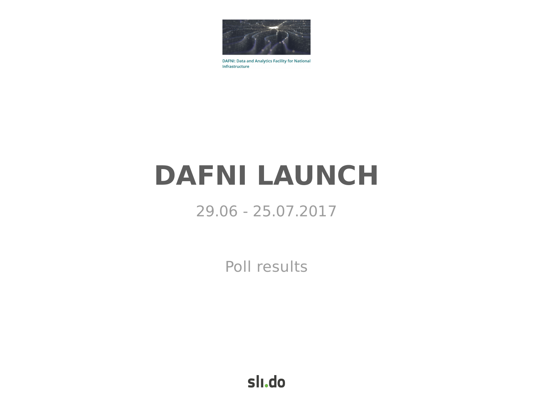

**DAFNI: Data and Analytics Facility for National** Infrastructure

# **DAFNI LAUNCH**

## 29.06 - 25.07.2017

Poll results

slı.do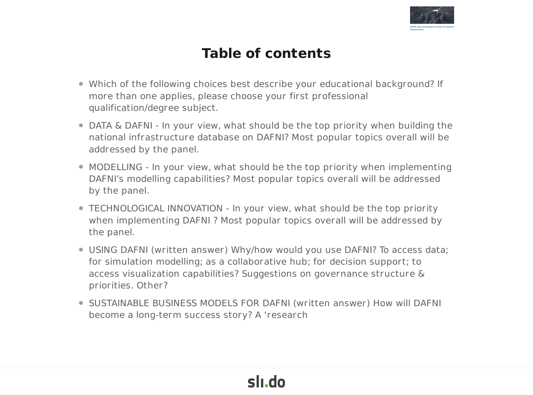

## **Table of contents**

- Which of the following choices best describe your educational background? If more than one applies, please choose your first professional qualification/degree subject.
- DATA & DAFNI In your view, what should be the top priority when building the national infrastructure database on DAFNI? Most popular topics overall will be addressed by the panel.
- MODELLING In your view, what should be the top priority when implementing DAFNI's modelling capabilities? Most popular topics overall will be addressed by the panel.
- TECHNOLOGICAL INNOVATION In your view, what should be the top priority when implementing DAFNI ? Most popular topics overall will be addressed by the panel.
- USING DAFNI (written answer) Why/how would you use DAFNI? To access data; for simulation modelling; as a collaborative hub; for decision support; to access visualization capabilities? Suggestions on governance structure & priorities. Other?
- SUSTAINABLE BUSINESS MODELS FOR DAFNI (written answer) How will DAFNI become a long-term success story? A 'research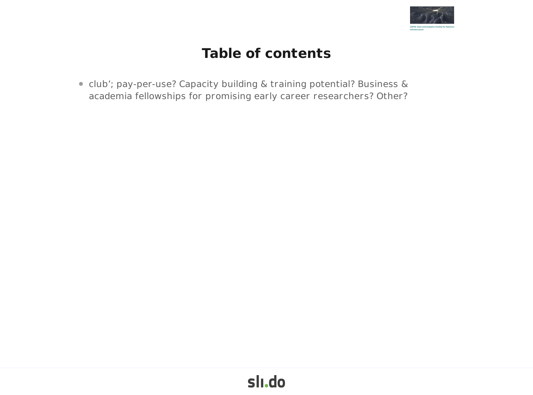

## **Table of contents**

club'; pay-per-use? Capacity building & training potential? Business & academia fellowships for promising early career researchers? Other?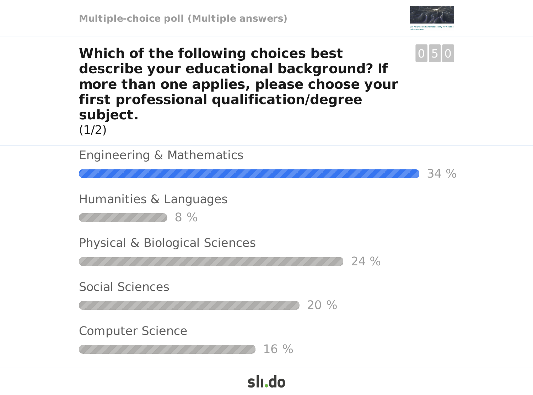

0 5 0

**Which of the following choices best describe your educational background? If more than one applies, please choose your first professional qualification/degree subject.**  $(1/2)$ 

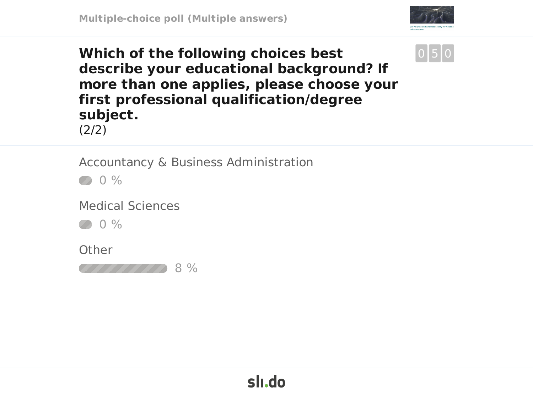

#### **Which of the following choices best describe your educational background? If more than one applies, please choose your first professional qualification/degree subject.** (2/2)



Accountancy & Business Administration

 $0%$ 

Medical Sciences

0 %

**Other** 

8 %

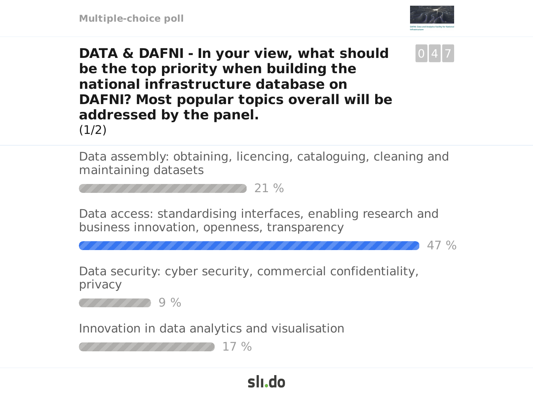



47 %

**DATA & DAFNI - In your view, what should be the top priority when building the national infrastructure database on DAFNI? Most popular topics overall will be addressed by the panel.**  $(1/2)$ 

Data assembly: obtaining, licencing, cataloguing, cleaning and maintaining datasets



Data access: standardising interfaces, enabling research and business innovation, openness, transparency

Data security: cyber security, commercial confidentiality, privacy

9 %

Innovation in data analytics and visualisation

17 %777777777

## slı.do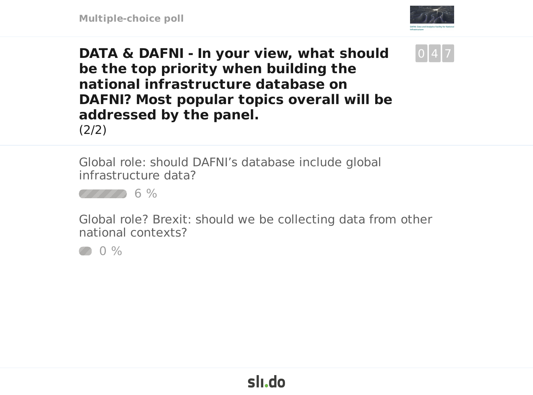



**DATA & DAFNI - In your view, what should be the top priority when building the national infrastructure database on DAFNI? Most popular topics overall will be addressed by the panel.** (2/2)

Global role: should DAFNI's database include global infrastructure data?



Global role? Brexit: should we be collecting data from other national contexts?

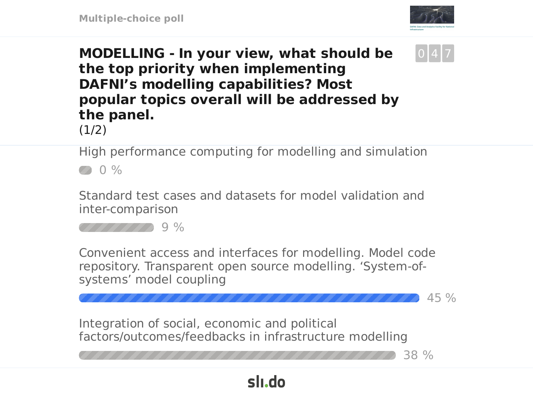



45 %

38 %

**MODELLING - In your view, what should be the top priority when implementing DAFNI's modelling capabilities? Most popular topics overall will be addressed by the panel.**

 $(1/2)$ 

High performance computing for modelling and simulation  $200%$ 

Standard test cases and datasets for model validation and inter-comparison



Convenient access and interfaces for modelling. Model code repository. Transparent open source modelling. 'System-ofsystems' model coupling

slı.do

Integration of social, economic and political factors/outcomes/feedbacks in infrastructure modelling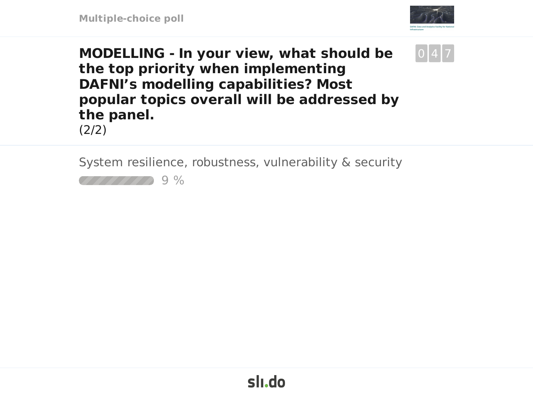



**MODELLING - In your view, what should be the top priority when implementing DAFNI's modelling capabilities? Most popular topics overall will be addressed by the panel.**

(2/2)

System resilience, robustness, vulnerability & security

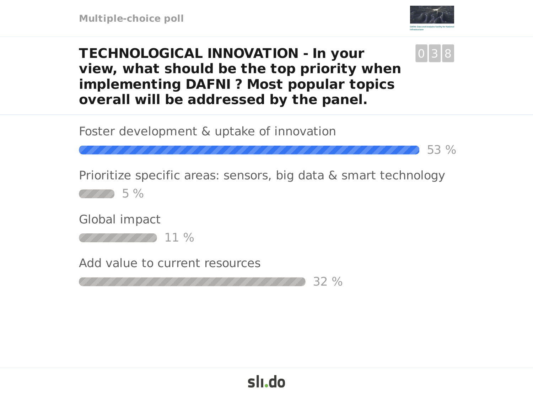**Multiple-choice poll**



0 3 8

53 %

**TECHNOLOGICAL INNOVATION - In your view, what should be the top priority when implementing DAFNI ? Most popular topics overall will be addressed by the panel.**

Foster development & uptake of innovation

Prioritize specific areas: sensors, big data & smart technology

5 %

Global impact

11 %

Add value to current resources

32 %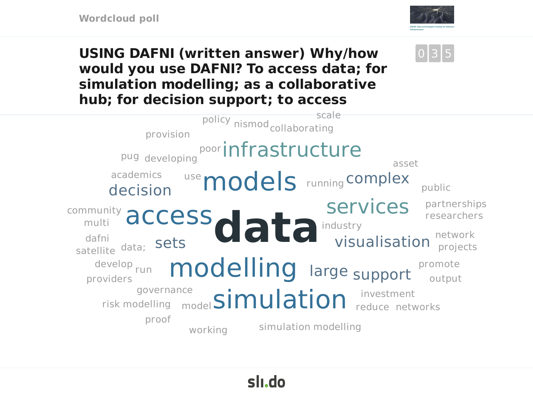

0 3 5

**USING DAFNI (written answer) Why/how would you use DAFNI? To access data; for simulation modelling; as a collaborative hub; for decision support; to access**



# sli.do